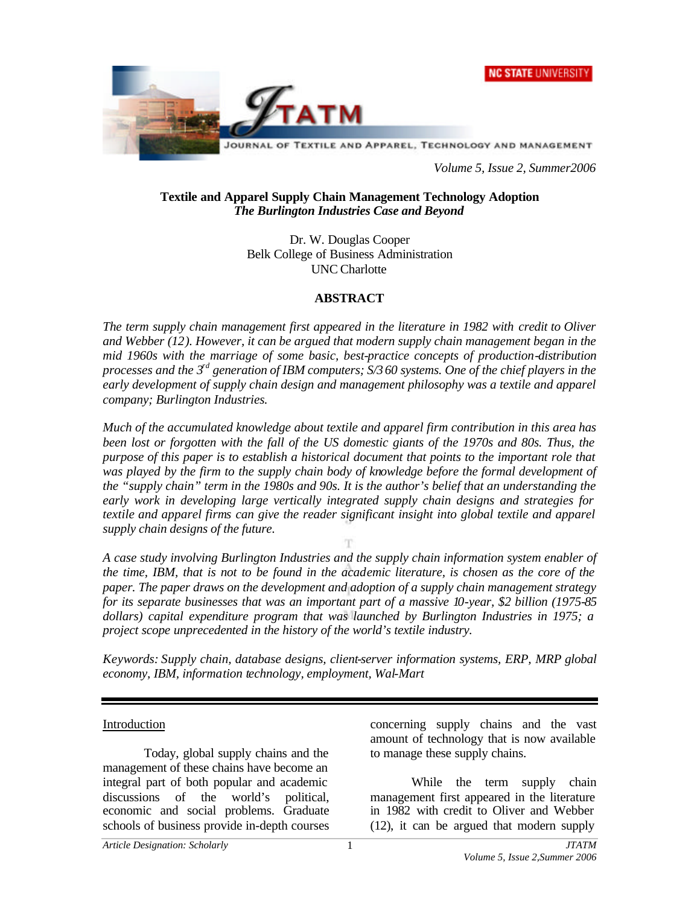



*Volume 5, Issue 2, Summer2006*

#### **Textile and Apparel Supply Chain Management Technology Adoption** *The Burlington Industries Case and Beyond*

Dr. W. Douglas Cooper Belk College of Business Administration UNC Charlotte

#### **ABSTRACT**

*The term supply chain management first appeared in the literature in 1982 with credit to Oliver and Webber (12). However, it can be argued that modern supply chain management began in the mid 1960s with the marriage of some basic, best-practice concepts of production-distribution processes and the 3rd generation of IBM computers; S/360 systems. One of the chief players in the early development of supply chain design and management philosophy was a textile and apparel company; Burlington Industries.* 

*Much of the accumulated knowledge about textile and apparel firm contribution in this area has been lost or forgotten with the fall of the US domestic giants of the 1970s and 80s. Thus, the purpose of this paper is to establish a historical document that points to the important role that was played by the firm to the supply chain body of knowledge before the formal development of the "supply chain" term in the 1980s and 90s. It is the author's belief that an understanding the early work in developing large vertically integrated supply chain designs and strategies for textile and apparel firms can give the reader significant insight into global textile and apparel supply chain designs of the future.*

*A case study involving Burlington Industries and the supply chain information system enabler of the time, IBM, that is not to be found in the academic literature, is chosen as the core of the paper. The paper draws on the development and adoption of a supply chain management strategy for its separate businesses that was an important part of a massive 10-year, \$2 billion (1975-85 dollars) capital expenditure program that was launched by Burlington Industries in 1975; a project scope unprecedented in the history of the world's textile industry.*

*Keywords: Supply chain, database designs, client-server information systems, ERP, MRP global economy, IBM, information technology, employment, Wal-Mart*

#### Introduction

Today, global supply chains and the management of these chains have become an integral part of both popular and academic discussions of the world's political, economic and social problems. Graduate schools of business provide in-depth courses concerning supply chains and the vast amount of technology that is now available to manage these supply chains.

While the term supply chain management first appeared in the literature in 1982 with credit to Oliver and Webber (12), it can be argued that modern supply

*Article Designation: Scholarly JTATM*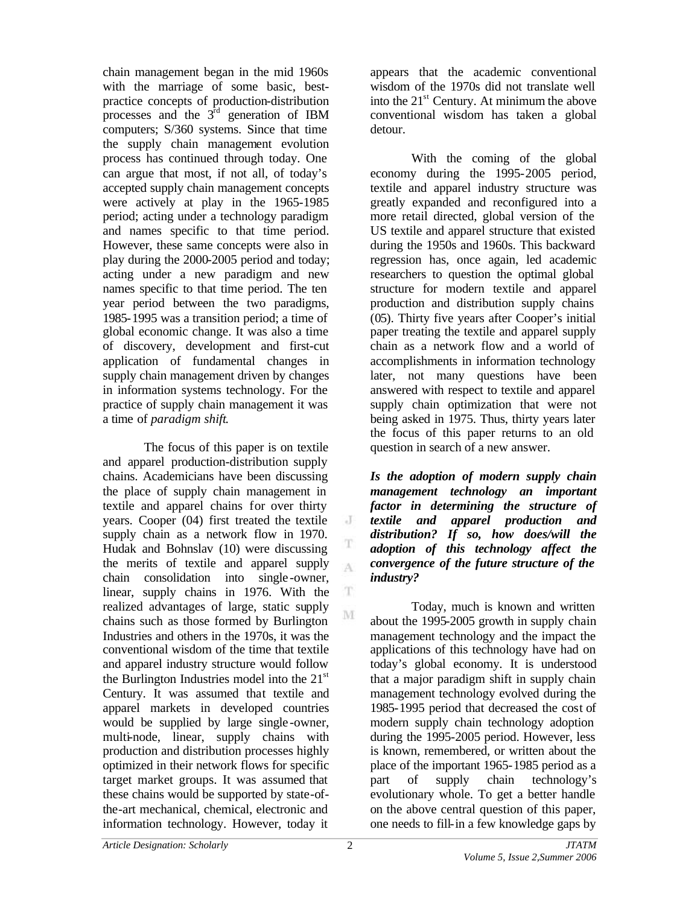chain management began in the mid 1960s with the marriage of some basic, bestpractice concepts of production-distribution processes and the  $3<sup>rd</sup>$  generation of IBM computers; S/360 systems. Since that time the supply chain management evolution process has continued through today. One can argue that most, if not all, of today's accepted supply chain management concepts were actively at play in the 1965-1985 period; acting under a technology paradigm and names specific to that time period. However, these same concepts were also in play during the 2000-2005 period and today; acting under a new paradigm and new names specific to that time period. The ten year period between the two paradigms, 1985-1995 was a transition period; a time of global economic change. It was also a time of discovery, development and first-cut application of fundamental changes in supply chain management driven by changes in information systems technology. For the practice of supply chain management it was a time of *paradigm shift*.

The focus of this paper is on textile and apparel production-distribution supply chains. Academicians have been discussing the place of supply chain management in textile and apparel chains for over thirty years. Cooper (04) first treated the textile supply chain as a network flow in 1970. Hudak and Bohnslav (10) were discussing the merits of textile and apparel supply chain consolidation into single -owner, linear, supply chains in 1976. With the realized advantages of large, static supply chains such as those formed by Burlington Industries and others in the 1970s, it was the conventional wisdom of the time that textile and apparel industry structure would follow the Burlington Industries model into the  $21<sup>st</sup>$ Century. It was assumed that textile and apparel markets in developed countries would be supplied by large single -owner, multi-node, linear, supply chains with production and distribution processes highly optimized in their network flows for specific target market groups. It was assumed that these chains would be supported by state-ofthe-art mechanical, chemical, electronic and information technology. However, today it

appears that the academic conventional wisdom of the 1970s did not translate well into the  $21<sup>st</sup>$  Century. At minimum the above conventional wisdom has taken a global detour.

With the coming of the global economy during the 1995-2005 period, textile and apparel industry structure was greatly expanded and reconfigured into a more retail directed, global version of the US textile and apparel structure that existed during the 1950s and 1960s. This backward regression has, once again, led academic researchers to question the optimal global structure for modern textile and apparel production and distribution supply chains (05). Thirty five years after Cooper's initial paper treating the textile and apparel supply chain as a network flow and a world of accomplishments in information technology later, not many questions have been answered with respect to textile and apparel supply chain optimization that were not being asked in 1975. Thus, thirty years later the focus of this paper returns to an old question in search of a new answer.

*Is the adoption of modern supply chain management technology an important factor in determining the structure of textile and apparel production and distribution? If so, how does/will the adoption of this technology affect the convergence of the future structure of the industry?*

Today, much is known and written about the 1995-2005 growth in supply chain management technology and the impact the applications of this technology have had on today's global economy. It is understood that a major paradigm shift in supply chain management technology evolved during the 1985-1995 period that decreased the cost of modern supply chain technology adoption during the 1995-2005 period. However, less is known, remembered, or written about the place of the important 1965-1985 period as a part of supply chain technology's evolutionary whole. To get a better handle on the above central question of this paper, one needs to fill-in a few knowledge gaps by

 $\cdot$ T

A

T. M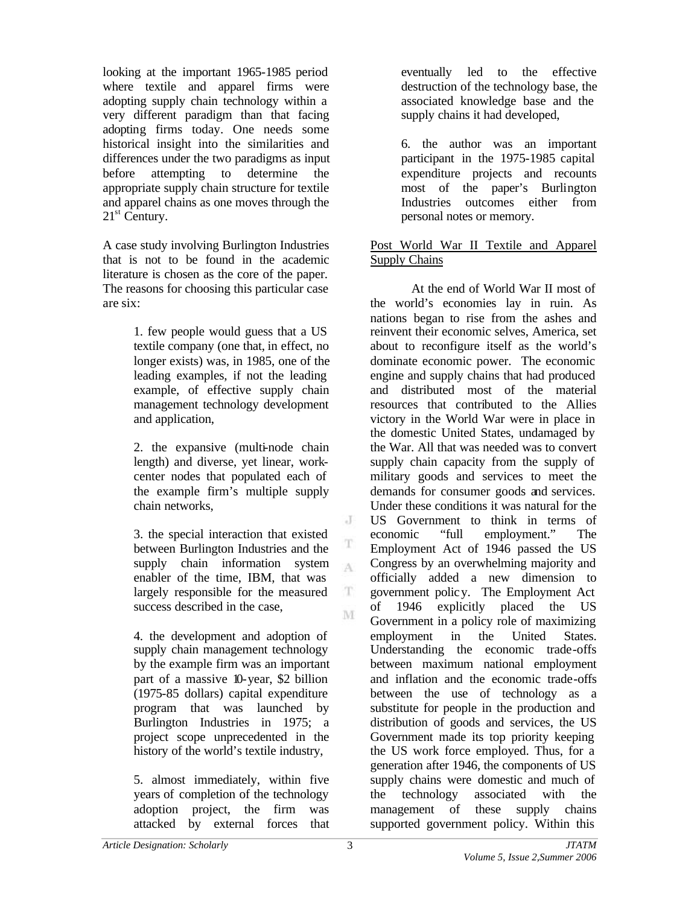looking at the important 1965-1985 period where textile and apparel firms were adopting supply chain technology within a very different paradigm than that facing adopting firms today. One needs some historical insight into the similarities and differences under the two paradigms as input before attempting to determine the appropriate supply chain structure for textile and apparel chains as one moves through the  $21<sup>st</sup>$  Century.

A case study involving Burlington Industries that is not to be found in the academic literature is chosen as the core of the paper. The reasons for choosing this particular case are six:

> 1. few people would guess that a US textile company (one that, in effect, no longer exists) was, in 1985, one of the leading examples, if not the leading example, of effective supply chain management technology development and application,

> 2. the expansive (multi-node chain length) and diverse, yet linear, workcenter nodes that populated each of the example firm's multiple supply chain networks,

3. the special interaction that existed between Burlington Industries and the supply chain information system enabler of the time, IBM, that was largely responsible for the measured success described in the case,

4. the development and adoption of supply chain management technology by the example firm was an important part of a massive 10-year, \$2 billion (1975-85 dollars) capital expenditure program that was launched by Burlington Industries in 1975; a project scope unprecedented in the history of the world's textile industry,

5. almost immediately, within five years of completion of the technology adoption project, the firm was attacked by external forces that

eventually led to the effective destruction of the technology base, the associated knowledge base and the supply chains it had developed,

6. the author was an important participant in the 1975-1985 capital expenditure projects and recounts most of the paper's Burlington Industries outcomes either from personal notes or memory.

# Post World War II Textile and Apparel Supply Chains

At the end of World War II most of the world's economies lay in ruin. As nations began to rise from the ashes and reinvent their economic selves, America, set about to reconfigure itself as the world's dominate economic power. The economic engine and supply chains that had produced and distributed most of the material resources that contributed to the Allies victory in the World War were in place in the domestic United States, undamaged by the War. All that was needed was to convert supply chain capacity from the supply of military goods and services to meet the demands for consumer goods and services. Under these conditions it was natural for the US Government to think in terms of economic "full employment." The Employment Act of 1946 passed the US Congress by an overwhelming majority and officially added a new dimension to government policy. The Employment Act of 1946 explicitly placed the US Government in a policy role of maximizing employment in the United States. Understanding the economic trade-offs between maximum national employment and inflation and the economic trade-offs between the use of technology as a substitute for people in the production and distribution of goods and services, the US Government made its top priority keeping the US work force employed. Thus, for a generation after 1946, the components of US supply chains were domestic and much of the technology associated with the management of these supply chains supported government policy. Within this

J

T  $\Lambda$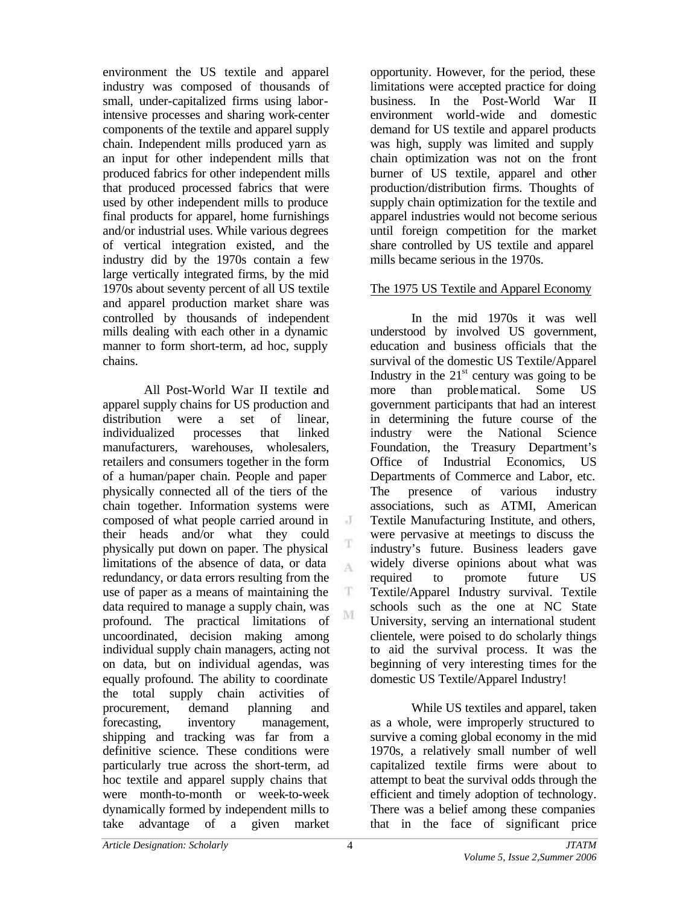environment the US textile and apparel industry was composed of thousands of small, under-capitalized firms using laborintensive processes and sharing work-center components of the textile and apparel supply chain. Independent mills produced yarn as an input for other independent mills that produced fabrics for other independent mills that produced processed fabrics that were used by other independent mills to produce final products for apparel, home furnishings and/or industrial uses. While various degrees of vertical integration existed, and the industry did by the 1970s contain a few large vertically integrated firms, by the mid 1970s about seventy percent of all US textile and apparel production market share was controlled by thousands of independent mills dealing with each other in a dynamic manner to form short-term, ad hoc, supply chains.

All Post-World War II textile and apparel supply chains for US production and distribution were a set of linear, individualized processes that linked manufacturers, warehouses, wholesalers, retailers and consumers together in the form of a human/paper chain. People and paper physically connected all of the tiers of the chain together. Information systems were composed of what people carried around in their heads and/or what they could physically put down on paper. The physical limitations of the absence of data, or data redundancy, or data errors resulting from the use of paper as a means of maintaining the data required to manage a supply chain, was profound. The practical limitations of uncoordinated, decision making among individual supply chain managers, acting not on data, but on individual agendas, was equally profound. The ability to coordinate the total supply chain activities of procurement, demand planning and forecasting, inventory management, shipping and tracking was far from a definitive science. These conditions were particularly true across the short-term, ad hoc textile and apparel supply chains that were month-to-month or week-to-week dynamically formed by independent mills to take advantage of a given market opportunity. However, for the period, these limitations were accepted practice for doing business. In the Post-World War II environment world-wide and domestic demand for US textile and apparel products was high, supply was limited and supply chain optimization was not on the front burner of US textile, apparel and other production/distribution firms. Thoughts of supply chain optimization for the textile and apparel industries would not become serious until foreign competition for the market share controlled by US textile and apparel mills became serious in the 1970s.

## The 1975 US Textile and Apparel Economy

In the mid 1970s it was well understood by involved US government, education and business officials that the survival of the domestic US Textile/Apparel Industry in the  $21<sup>st</sup>$  century was going to be more than problematical. Some US government participants that had an interest in determining the future course of the industry were the National Science Foundation, the Treasury Department's Office of Industrial Economics, US Departments of Commerce and Labor, etc. The presence of various industry associations, such as ATMI, American Textile Manufacturing Institute, and others, were pervasive at meetings to discuss the industry's future. Business leaders gave widely diverse opinions about what was required to promote future US Textile/Apparel Industry survival. Textile schools such as the one at NC State University, serving an international student clientele, were poised to do scholarly things to aid the survival process. It was the beginning of very interesting times for the domestic US Textile/Apparel Industry!

While US textiles and apparel, taken as a whole, were improperly structured to survive a coming global economy in the mid 1970s, a relatively small number of well capitalized textile firms were about to attempt to beat the survival odds through the efficient and timely adoption of technology. There was a belief among these companies that in the face of significant price

J

T A

T. M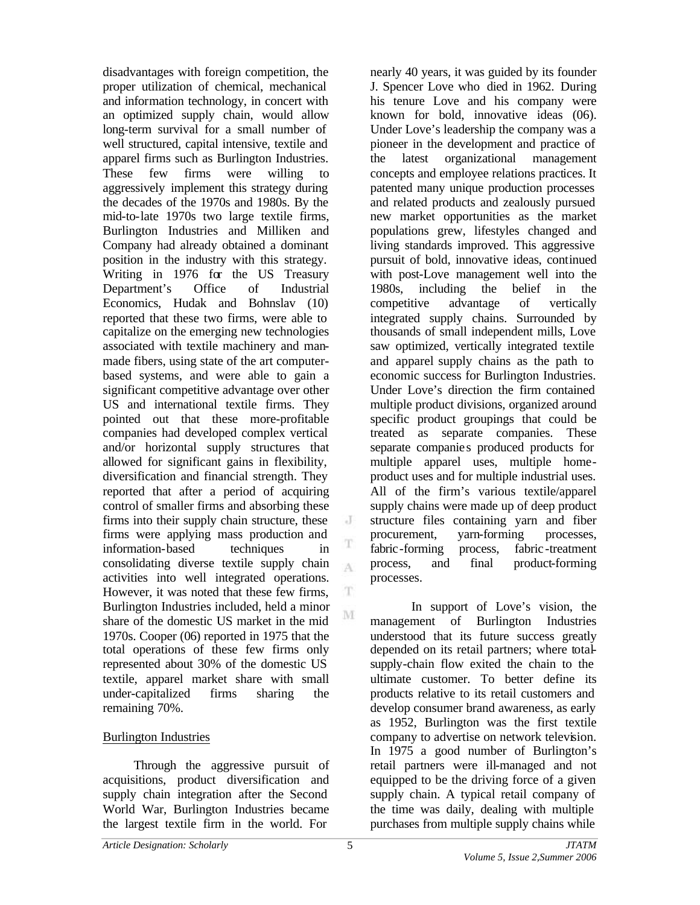disadvantages with foreign competition, the proper utilization of chemical, mechanical and information technology, in concert with an optimized supply chain, would allow long-term survival for a small number of well structured, capital intensive, textile and apparel firms such as Burlington Industries. These few firms were willing to aggressively implement this strategy during the decades of the 1970s and 1980s. By the mid-to-late 1970s two large textile firms, Burlington Industries and Milliken and Company had already obtained a dominant position in the industry with this strategy. Writing in 1976 for the US Treasury Department's Office of Industrial Economics, Hudak and Bohnslav (10) reported that these two firms, were able to capitalize on the emerging new technologies associated with textile machinery and manmade fibers, using state of the art computerbased systems, and were able to gain a significant competitive advantage over other US and international textile firms. They pointed out that these more-profitable companies had developed complex vertical and/or horizontal supply structures that allowed for significant gains in flexibility, diversification and financial strength. They reported that after a period of acquiring control of smaller firms and absorbing these firms into their supply chain structure, these firms were applying mass production and information-based techniques in consolidating diverse textile supply chain activities into well integrated operations. However, it was noted that these few firms, Burlington Industries included, held a minor share of the domestic US market in the mid 1970s. Cooper (06) reported in 1975 that the total operations of these few firms only represented about 30% of the domestic US textile, apparel market share with small under-capitalized firms sharing the remaining 70%.

# Burlington Industries

Through the aggressive pursuit of acquisitions, product diversification and supply chain integration after the Second World War, Burlington Industries became the largest textile firm in the world. For

nearly 40 years, it was guided by its founder J. Spencer Love who died in 1962. During his tenure Love and his company were known for bold, innovative ideas (06). Under Love's leadership the company was a pioneer in the development and practice of the latest organizational management concepts and employee relations practices. It patented many unique production processes and related products and zealously pursued new market opportunities as the market populations grew, lifestyles changed and living standards improved. This aggressive pursuit of bold, innovative ideas, continued with post-Love management well into the 1980s, including the belief in the competitive advantage of vertically integrated supply chains. Surrounded by thousands of small independent mills, Love saw optimized, vertically integrated textile and apparel supply chains as the path to economic success for Burlington Industries. Under Love's direction the firm contained multiple product divisions, organized around specific product groupings that could be treated as separate companies. These separate companie s produced products for multiple apparel uses, multiple homeproduct uses and for multiple industrial uses. All of the firm's various textile/apparel supply chains were made up of deep product structure files containing yarn and fiber procurement, yarn-forming processes, fabric-forming process, fabric-treatment process, and final product-forming processes.

In support of Love's vision, the management of Burlington Industries understood that its future success greatly depended on its retail partners; where totalsupply-chain flow exited the chain to the ultimate customer. To better define its products relative to its retail customers and develop consumer brand awareness, as early as 1952, Burlington was the first textile company to advertise on network television. In 1975 a good number of Burlington's retail partners were ill-managed and not equipped to be the driving force of a given supply chain. A typical retail company of the time was daily, dealing with multiple purchases from multiple supply chains while

J

T A

T. M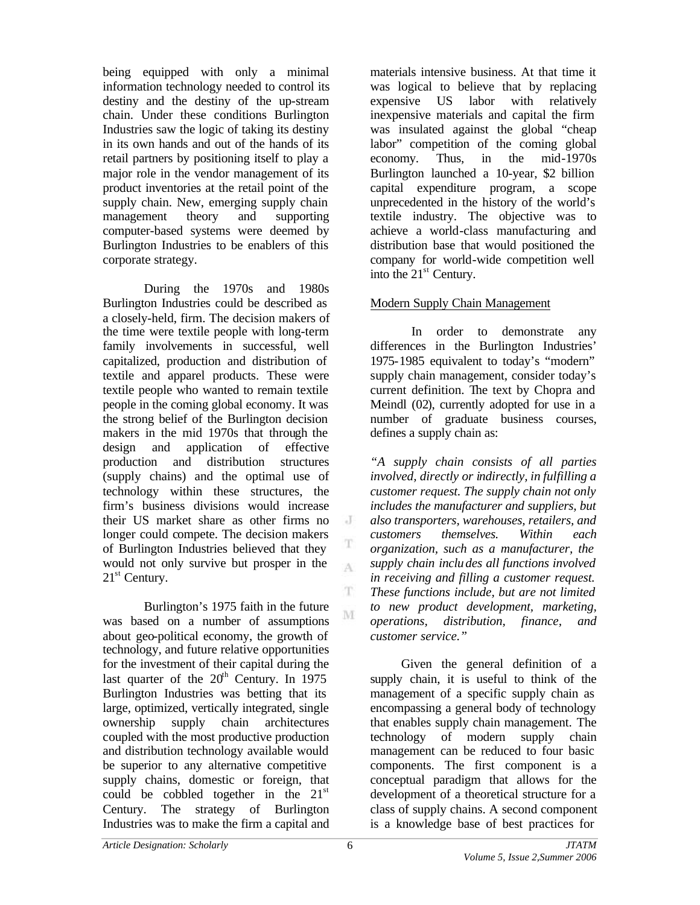being equipped with only a minimal information technology needed to control its destiny and the destiny of the up-stream chain. Under these conditions Burlington Industries saw the logic of taking its destiny in its own hands and out of the hands of its retail partners by positioning itself to play a major role in the vendor management of its product inventories at the retail point of the supply chain. New, emerging supply chain management theory and supporting computer-based systems were deemed by Burlington Industries to be enablers of this corporate strategy.

During the 1970s and 1980s Burlington Industries could be described as a closely-held, firm. The decision makers of the time were textile people with long-term family involvements in successful, well capitalized, production and distribution of textile and apparel products. These were textile people who wanted to remain textile people in the coming global economy. It was the strong belief of the Burlington decision makers in the mid 1970s that through the design and application of effective production and distribution structures (supply chains) and the optimal use of technology within these structures, the firm's business divisions would increase their US market share as other firms no longer could compete. The decision makers of Burlington Industries believed that they would not only survive but prosper in the  $21<sup>st</sup>$  Century.

Burlington's 1975 faith in the future was based on a number of assumptions about geo-political economy, the growth of technology, and future relative opportunities for the investment of their capital during the last quarter of the  $20<sup>th</sup>$  Century. In 1975 Burlington Industries was betting that its large, optimized, vertically integrated, single ownership supply chain architectures coupled with the most productive production and distribution technology available would be superior to any alternative competitive supply chains, domestic or foreign, that could be cobbled together in the  $21<sup>st</sup>$ Century. The strategy of Burlington Industries was to make the firm a capital and

materials intensive business. At that time it was logical to believe that by replacing expensive US labor with relatively inexpensive materials and capital the firm was insulated against the global "cheap labor" competition of the coming global economy. Thus, in the mid-1970s Burlington launched a 10-year, \$2 billion capital expenditure program, a scope unprecedented in the history of the world's textile industry. The objective was to achieve a world-class manufacturing and distribution base that would positioned the company for world-wide competition well into the  $21<sup>st</sup>$  Century.

## Modern Supply Chain Management

In order to demonstrate any differences in the Burlington Industries' 1975-1985 equivalent to today's "modern" supply chain management, consider today's current definition. The text by Chopra and Meindl (02), currently adopted for use in a number of graduate business courses, defines a supply chain as:

*"A supply chain consists of all parties involved, directly or indirectly, in fulfilling a customer request. The supply chain not only includes the manufacturer and suppliers, but also transporters, warehouses, retailers, and customers themselves. Within each organization, such as a manufacturer, the supply chain includes all functions involved in receiving and filling a customer request. These functions include, but are not limited to new product development, marketing, operations, distribution, finance, and customer service."*

Given the general definition of a supply chain, it is useful to think of the management of a specific supply chain as encompassing a general body of technology that enables supply chain management. The technology of modern supply chain management can be reduced to four basic components. The first component is a conceptual paradigm that allows for the development of a theoretical structure for a class of supply chains. A second component is a knowledge base of best practices for

 $\cdot$ T

T  $\Lambda$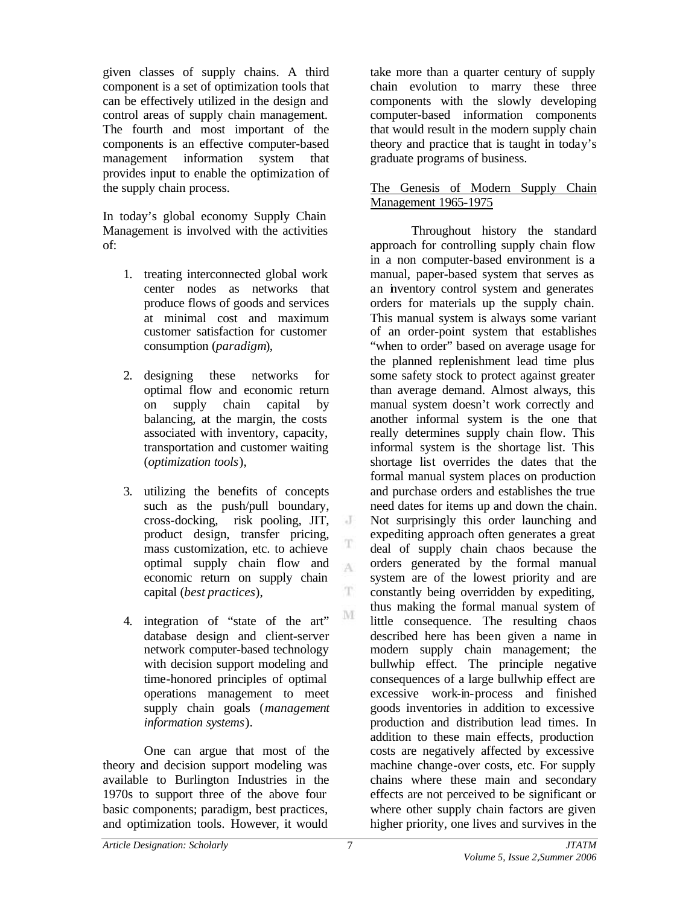given classes of supply chains. A third component is a set of optimization tools that can be effectively utilized in the design and control areas of supply chain management. The fourth and most important of the components is an effective computer-based management information system that provides input to enable the optimization of the supply chain process.

In today's global economy Supply Chain Management is involved with the activities of:

- 1. treating interconnected global work center nodes as networks that produce flows of goods and services at minimal cost and maximum customer satisfaction for customer consumption (*paradigm*),
- 2. designing these networks for optimal flow and economic return on supply chain capital by balancing, at the margin, the costs associated with inventory, capacity, transportation and customer waiting (*optimization tools*),
- 3. utilizing the benefits of concepts such as the push/pull boundary, cross-docking, risk pooling, JIT, product design, transfer pricing, mass customization, etc. to achieve optimal supply chain flow and economic return on supply chain capital (*best practices*),
- 4. integration of "state of the art" database design and client-server network computer-based technology with decision support modeling and time-honored principles of optimal operations management to meet supply chain goals (*management information systems*).

One can argue that most of the theory and decision support modeling was available to Burlington Industries in the 1970s to support three of the above four basic components; paradigm, best practices, and optimization tools. However, it would

take more than a quarter century of supply chain evolution to marry these three components with the slowly developing computer-based information components that would result in the modern supply chain theory and practice that is taught in today's graduate programs of business.

# The Genesis of Modern Supply Chain Management 1965-1975

Throughout history the standard approach for controlling supply chain flow in a non computer-based environment is a manual, paper-based system that serves as an inventory control system and generates orders for materials up the supply chain. This manual system is always some variant of an order-point system that establishes "when to order" based on average usage for the planned replenishment lead time plus some safety stock to protect against greater than average demand. Almost always, this manual system doesn't work correctly and another informal system is the one that really determines supply chain flow. This informal system is the shortage list. This shortage list overrides the dates that the formal manual system places on production and purchase orders and establishes the true need dates for items up and down the chain. Not surprisingly this order launching and expediting approach often generates a great deal of supply chain chaos because the orders generated by the formal manual system are of the lowest priority and are constantly being overridden by expediting, thus making the formal manual system of little consequence. The resulting chaos described here has been given a name in modern supply chain management; the bullwhip effect. The principle negative consequences of a large bullwhip effect are excessive work-in-process and finished goods inventories in addition to excessive production and distribution lead times. In addition to these main effects, production costs are negatively affected by excessive machine change-over costs, etc. For supply chains where these main and secondary effects are not perceived to be significant or where other supply chain factors are given higher priority, one lives and survives in the

 $\cdot$  J

 $\Lambda$ 

T.

 $\mathbf{M}$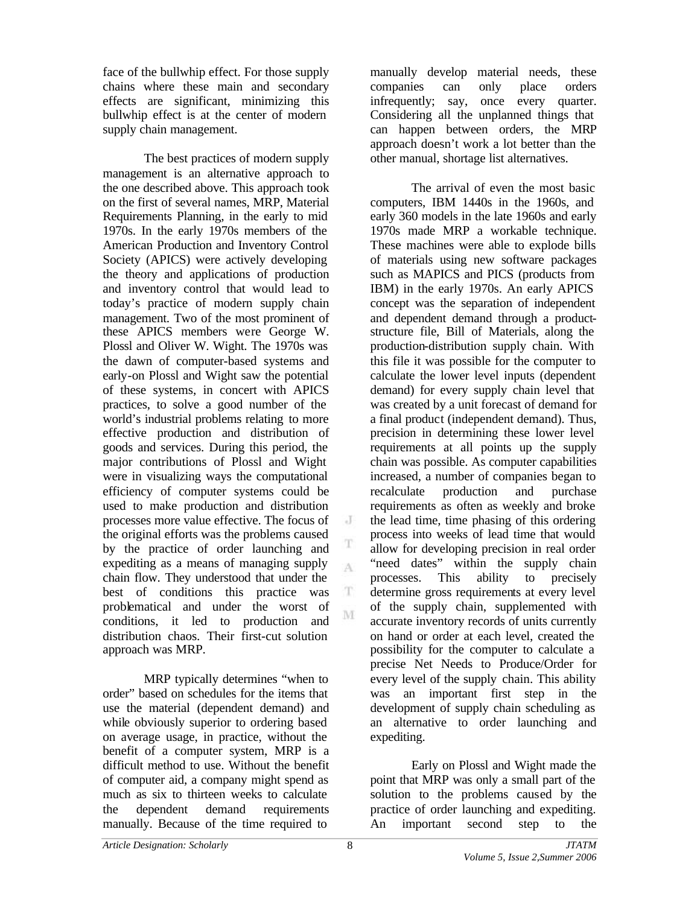face of the bullwhip effect. For those supply chains where these main and secondary effects are significant, minimizing this bullwhip effect is at the center of modern supply chain management.

The best practices of modern supply management is an alternative approach to the one described above. This approach took on the first of several names, MRP, Material Requirements Planning, in the early to mid 1970s. In the early 1970s members of the American Production and Inventory Control Society (APICS) were actively developing the theory and applications of production and inventory control that would lead to today's practice of modern supply chain management. Two of the most prominent of these APICS members were George W. Plossl and Oliver W. Wight. The 1970s was the dawn of computer-based systems and early-on Plossl and Wight saw the potential of these systems, in concert with APICS practices, to solve a good number of the world's industrial problems relating to more effective production and distribution of goods and services. During this period, the major contributions of Plossl and Wight were in visualizing ways the computational efficiency of computer systems could be used to make production and distribution processes more value effective. The focus of the original efforts was the problems caused by the practice of order launching and expediting as a means of managing supply chain flow. They understood that under the best of conditions this practice was problematical and under the worst of conditions, it led to production and distribution chaos. Their first-cut solution approach was MRP.

MRP typically determines "when to order" based on schedules for the items that use the material (dependent demand) and while obviously superior to ordering based on average usage, in practice, without the benefit of a computer system, MRP is a difficult method to use. Without the benefit of computer aid, a company might spend as much as six to thirteen weeks to calculate the dependent demand requirements manually. Because of the time required to

manually develop material needs, these companies can only place orders infrequently; say, once every quarter. Considering all the unplanned things that can happen between orders, the MRP approach doesn't work a lot better than the other manual, shortage list alternatives.

The arrival of even the most basic computers, IBM 1440s in the 1960s, and early 360 models in the late 1960s and early 1970s made MRP a workable technique. These machines were able to explode bills of materials using new software packages such as MAPICS and PICS (products from IBM) in the early 1970s. An early APICS concept was the separation of independent and dependent demand through a productstructure file, Bill of Materials, along the production-distribution supply chain. With this file it was possible for the computer to calculate the lower level inputs (dependent demand) for every supply chain level that was created by a unit forecast of demand for a final product (independent demand). Thus, precision in determining these lower level requirements at all points up the supply chain was possible. As computer capabilities increased, a number of companies began to recalculate production and purchase requirements as often as weekly and broke the lead time, time phasing of this ordering process into weeks of lead time that would allow for developing precision in real order "need dates" within the supply chain processes. This ability to precisely determine gross requirements at every level of the supply chain, supplemented with accurate inventory records of units currently on hand or order at each level, created the possibility for the computer to calculate a precise Net Needs to Produce/Order for every level of the supply chain. This ability was an important first step in the development of supply chain scheduling as an alternative to order launching and expediting.

Early on Plossl and Wight made the point that MRP was only a small part of the solution to the problems caused by the practice of order launching and expediting. An important second step to the

J

T A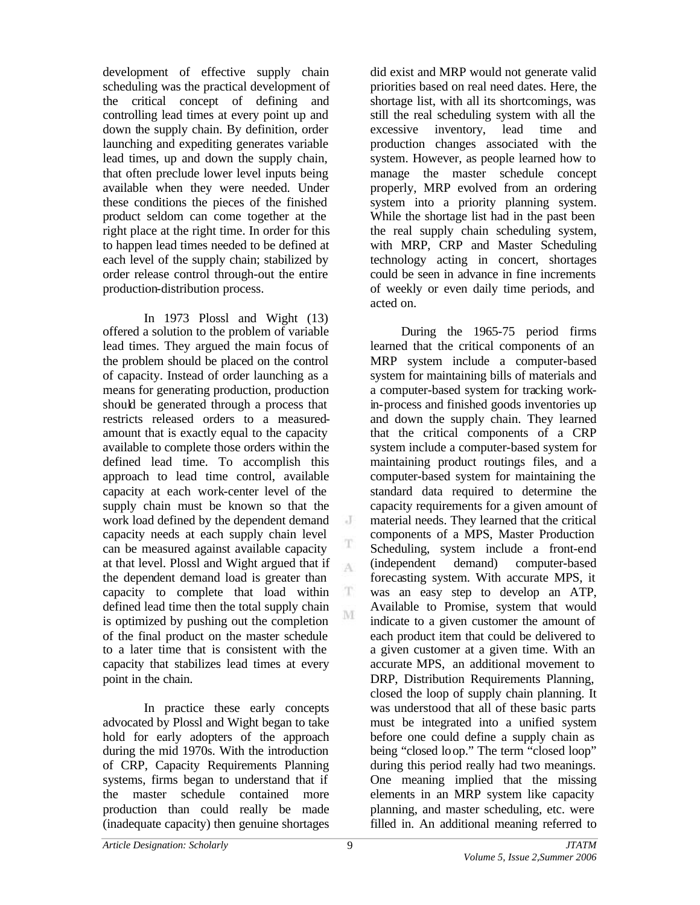development of effective supply chain scheduling was the practical development of the critical concept of defining and controlling lead times at every point up and down the supply chain. By definition, order launching and expediting generates variable lead times, up and down the supply chain, that often preclude lower level inputs being available when they were needed. Under these conditions the pieces of the finished product seldom can come together at the right place at the right time. In order for this to happen lead times needed to be defined at each level of the supply chain; stabilized by order release control through-out the entire production-distribution process.

In 1973 Plossl and Wight (13) offered a solution to the problem of variable lead times. They argued the main focus of the problem should be placed on the control of capacity. Instead of order launching as a means for generating production, production should be generated through a process that restricts released orders to a measuredamount that is exactly equal to the capacity available to complete those orders within the defined lead time. To accomplish this approach to lead time control, available capacity at each work-center level of the supply chain must be known so that the work load defined by the dependent demand capacity needs at each supply chain level can be measured against available capacity at that level. Plossl and Wight argued that if the dependent demand load is greater than capacity to complete that load within defined lead time then the total supply chain is optimized by pushing out the completion of the final product on the master schedule to a later time that is consistent with the capacity that stabilizes lead times at every point in the chain.

In practice these early concepts advocated by Plossl and Wight began to take hold for early adopters of the approach during the mid 1970s. With the introduction of CRP, Capacity Requirements Planning systems, firms began to understand that if the master schedule contained more production than could really be made (inadequate capacity) then genuine shortages

did exist and MRP would not generate valid priorities based on real need dates. Here, the shortage list, with all its shortcomings, was still the real scheduling system with all the excessive inventory, lead time and production changes associated with the system. However, as people learned how to manage the master schedule concept properly, MRP evolved from an ordering system into a priority planning system. While the shortage list had in the past been the real supply chain scheduling system, with MRP, CRP and Master Scheduling technology acting in concert, shortages could be seen in advance in fine increments of weekly or even daily time periods, and acted on.

During the 1965-75 period firms learned that the critical components of an MRP system include a computer-based system for maintaining bills of materials and a computer-based system for tracking workin-process and finished goods inventories up and down the supply chain. They learned that the critical components of a CRP system include a computer-based system for maintaining product routings files, and a computer-based system for maintaining the standard data required to determine the capacity requirements for a given amount of material needs. They learned that the critical components of a MPS, Master Production Scheduling, system include a front-end (independent demand) computer-based forecasting system. With accurate MPS, it was an easy step to develop an ATP, Available to Promise, system that would indicate to a given customer the amount of each product item that could be delivered to a given customer at a given time. With an accurate MPS, an additional movement to DRP, Distribution Requirements Planning, closed the loop of supply chain planning. It was understood that all of these basic parts must be integrated into a unified system before one could define a supply chain as being "closed loop." The term "closed loop" during this period really had two meanings. One meaning implied that the missing elements in an MRP system like capacity planning, and master scheduling, etc. were filled in. An additional meaning referred to

 $\cdot$  J

A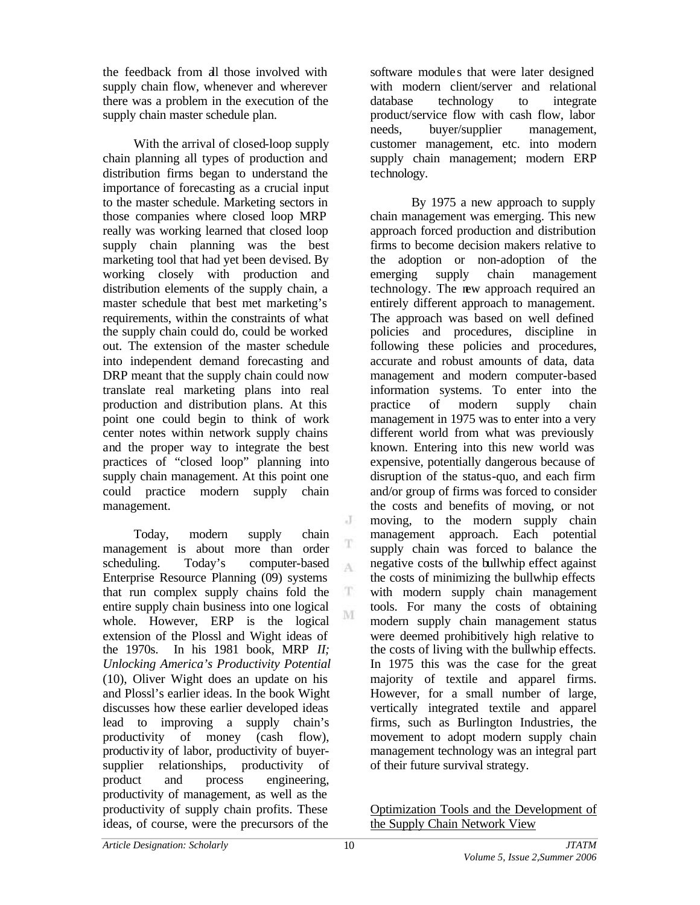the feedback from all those involved with supply chain flow, whenever and wherever there was a problem in the execution of the supply chain master schedule plan.

With the arrival of closed-loop supply chain planning all types of production and distribution firms began to understand the importance of forecasting as a crucial input to the master schedule. Marketing sectors in those companies where closed loop MRP really was working learned that closed loop supply chain planning was the best marketing tool that had yet been devised. By working closely with production and distribution elements of the supply chain, a master schedule that best met marketing's requirements, within the constraints of what the supply chain could do, could be worked out. The extension of the master schedule into independent demand forecasting and DRP meant that the supply chain could now translate real marketing plans into real production and distribution plans. At this point one could begin to think of work center notes within network supply chains and the proper way to integrate the best practices of "closed loop" planning into supply chain management. At this point one could practice modern supply chain management.

Today, modern supply chain management is about more than order scheduling. Today's computer-based  $\Lambda$ Enterprise Resource Planning (09) systems that run complex supply chains fold the entire supply chain business into one logical whole. However, ERP is the logical extension of the Plossl and Wight ideas of the 1970s. In his 1981 book, MRP *II; Unlocking America's Productivity Potential* (10), Oliver Wight does an update on his and Plossl's earlier ideas. In the book Wight discusses how these earlier developed ideas lead to improving a supply chain's productivity of money (cash flow), productivity of labor, productivity of buyersupplier relationships, productivity of product and process engineering, productivity of management, as well as the productivity of supply chain profits. These ideas, of course, were the precursors of the

software module s that were later designed with modern client/server and relational database technology to integrate product/service flow with cash flow, labor needs, buyer/supplier management, customer management, etc. into modern supply chain management; modern ERP technology.

By 1975 a new approach to supply chain management was emerging. This new approach forced production and distribution firms to become decision makers relative to the adoption or non-adoption of the emerging supply chain management technology. The new approach required an entirely different approach to management. The approach was based on well defined policies and procedures, discipline in following these policies and procedures, accurate and robust amounts of data, data management and modern computer-based information systems. To enter into the practice of modern supply chain management in 1975 was to enter into a very different world from what was previously known. Entering into this new world was expensive, potentially dangerous because of disruption of the status-quo, and each firm and/or group of firms was forced to consider the costs and benefits of moving, or not moving, to the modern supply chain management approach. Each potential supply chain was forced to balance the negative costs of the bullwhip effect against the costs of minimizing the bullwhip effects with modern supply chain management tools. For many the costs of obtaining modern supply chain management status were deemed prohibitively high relative to the costs of living with the bullwhip effects. In 1975 this was the case for the great majority of textile and apparel firms. However, for a small number of large, vertically integrated textile and apparel firms, such as Burlington Industries, the movement to adopt modern supply chain management technology was an integral part of their future survival strategy.

Optimization Tools and the Development of the Supply Chain Network View

J

T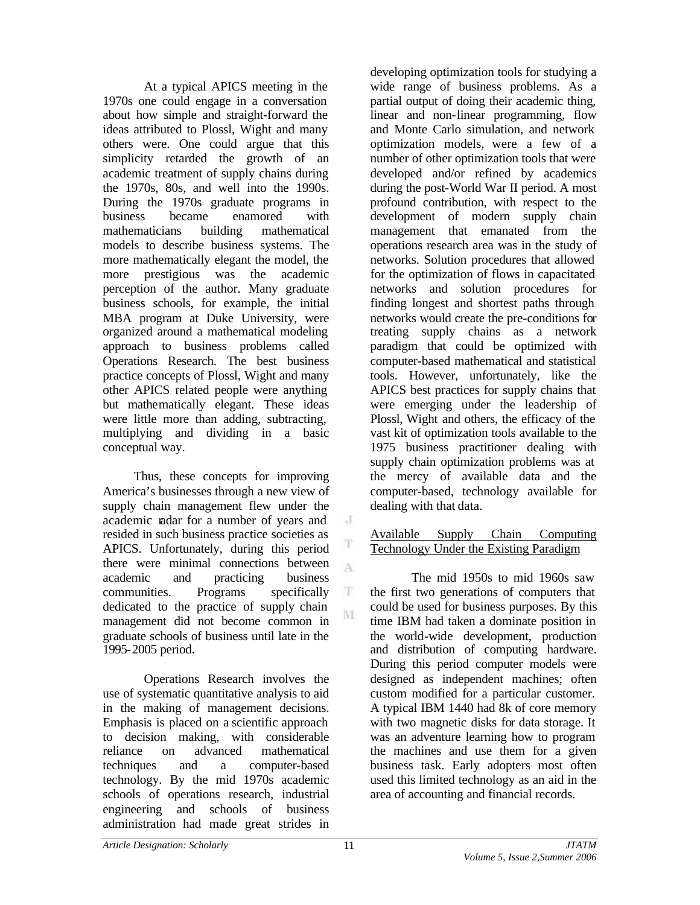At a typical APICS meeting in the 1970s one could engage in a conversation about how simple and straight-forward the ideas attributed to Plossl, Wight and many others were. One could argue that this simplicity retarded the growth of an academic treatment of supply chains during the 1970s, 80s, and well into the 1990s. During the 1970s graduate programs in business became enamored with mathematicians building mathematical models to describe business systems. The more mathematically elegant the model, the more prestigious was the academic perception of the author. Many graduate business schools, for example, the initial MBA program at Duke University, were organized around a mathematical modeling approach to business problems called Operations Research. The best business practice concepts of Plossl, Wight and many other APICS related people were anything but mathematically elegant. These ideas were little more than adding, subtracting, multiplying and dividing in a basic conceptual way.

Thus, these concepts for improving America's businesses through a new view of supply chain management flew under the academic radar for a number of years and resided in such business practice societies as APICS. Unfortunately, during this period there were minimal connections between academic and practicing business communities. Programs specifically dedicated to the practice of supply chain management did not become common in graduate schools of business until late in the 1995-2005 period.

Operations Research involves the use of systematic quantitative analysis to aid in the making of management decisions. Emphasis is placed on a scientific approach to decision making, with considerable reliance on advanced mathematical techniques and a computer-based technology. By the mid 1970s academic schools of operations research, industrial engineering and schools of business administration had made great strides in

developing optimization tools for studying a wide range of business problems. As a partial output of doing their academic thing, linear and non-linear programming, flow and Monte Carlo simulation, and network optimization models, were a few of a number of other optimization tools that were developed and/or refined by academics during the post-World War II period. A most profound contribution, with respect to the development of modern supply chain management that emanated from the operations research area was in the study of networks. Solution procedures that allowed for the optimization of flows in capacitated networks and solution procedures for finding longest and shortest paths through networks would create the pre-conditions for treating supply chains as a network paradigm that could be optimized with computer-based mathematical and statistical tools. However, unfortunately, like the APICS best practices for supply chains that were emerging under the leadership of Plossl, Wight and others, the efficacy of the vast kit of optimization tools available to the 1975 business practitioner dealing with supply chain optimization problems was at the mercy of available data and the computer-based, technology available for dealing with that data.

## Available Supply Chain Computing Technology Under the Existing Paradigm

The mid 1950s to mid 1960s saw the first two generations of computers that could be used for business purposes. By this time IBM had taken a dominate position in the world-wide development, production and distribution of computing hardware. During this period computer models were designed as independent machines; often custom modified for a particular customer. A typical IBM 1440 had 8k of core memory with two magnetic disks for data storage. It was an adventure learning how to program the machines and use them for a given business task. Early adopters most often used this limited technology as an aid in the area of accounting and financial records.

 $\cdot$ 

A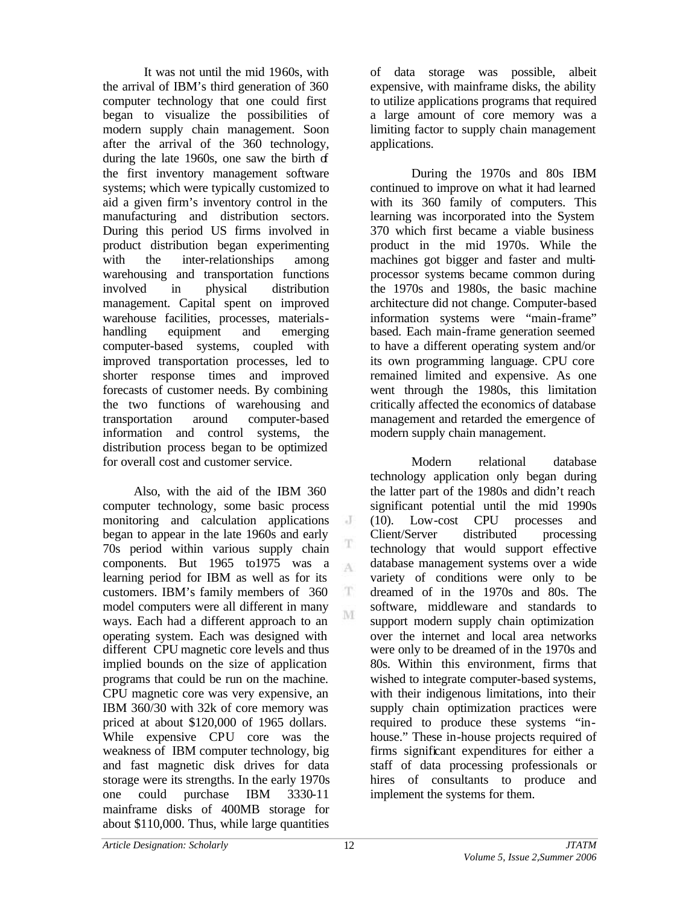It was not until the mid 1960s, with the arrival of IBM's third generation of 360 computer technology that one could first began to visualize the possibilities of modern supply chain management. Soon after the arrival of the 360 technology, during the late  $1960s$ , one saw the birth  $f$ the first inventory management software systems; which were typically customized to aid a given firm's inventory control in the manufacturing and distribution sectors. During this period US firms involved in product distribution began experimenting with the inter-relationships among warehousing and transportation functions involved in physical distribution management. Capital spent on improved warehouse facilities, processes, materialshandling equipment and emerging computer-based systems, coupled with improved transportation processes, led to shorter response times and improved forecasts of customer needs. By combining the two functions of warehousing and transportation around computer-based information and control systems, the distribution process began to be optimized for overall cost and customer service.

Also, with the aid of the IBM 360 computer technology, some basic process monitoring and calculation applications began to appear in the late 1960s and early 70s period within various supply chain components. But 1965 to1975 was a learning period for IBM as well as for its customers. IBM's family members of 360 model computers were all different in many ways. Each had a different approach to an operating system. Each was designed with different CPU magnetic core levels and thus implied bounds on the size of application programs that could be run on the machine. CPU magnetic core was very expensive, an IBM 360/30 with 32k of core memory was priced at about \$120,000 of 1965 dollars. While expensive CPU core was the weakness of IBM computer technology, big and fast magnetic disk drives for data storage were its strengths. In the early 1970s one could purchase IBM 3330-11 mainframe disks of 400MB storage for about \$110,000. Thus, while large quantities

of data storage was possible, albeit expensive, with mainframe disks, the ability to utilize applications programs that required a large amount of core memory was a limiting factor to supply chain management applications.

During the 1970s and 80s IBM continued to improve on what it had learned with its 360 family of computers. This learning was incorporated into the System 370 which first became a viable business product in the mid 1970s. While the machines got bigger and faster and multiprocessor systems became common during the 1970s and 1980s, the basic machine architecture did not change. Computer-based information systems were "main-frame" based. Each main-frame generation seemed to have a different operating system and/or its own programming language. CPU core remained limited and expensive. As one went through the 1980s, this limitation critically affected the economics of database management and retarded the emergence of modern supply chain management.

Modern relational database technology application only began during the latter part of the 1980s and didn't reach significant potential until the mid 1990s (10). Low-cost CPU processes and Client/Server distributed processing technology that would support effective database management systems over a wide variety of conditions were only to be dreamed of in the 1970s and 80s. The software, middleware and standards to support modern supply chain optimization over the internet and local area networks were only to be dreamed of in the 1970s and 80s. Within this environment, firms that wished to integrate computer-based systems, with their indigenous limitations, into their supply chain optimization practices were required to produce these systems "inhouse." These in-house projects required of firms significant expenditures for either a staff of data processing professionals or hires of consultants to produce and implement the systems for them.

 $\cdot$  J

T  $\Lambda$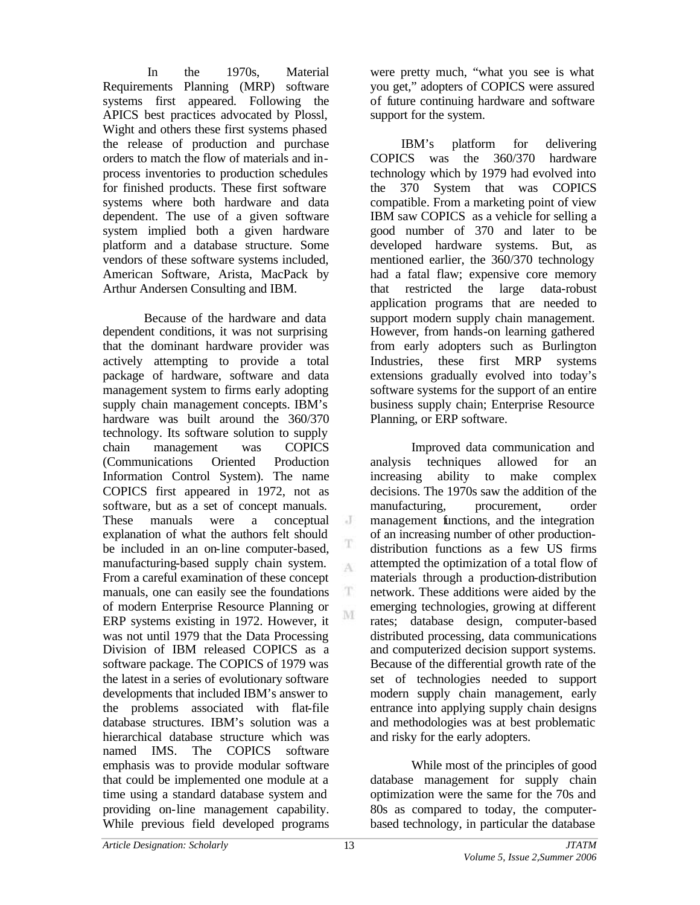In the 1970s, Material Requirements Planning (MRP) software systems first appeared. Following the APICS best practices advocated by Plossl, Wight and others these first systems phased the release of production and purchase orders to match the flow of materials and inprocess inventories to production schedules for finished products. These first software systems where both hardware and data dependent. The use of a given software system implied both a given hardware platform and a database structure. Some vendors of these software systems included, American Software, Arista, MacPack by Arthur Andersen Consulting and IBM.

Because of the hardware and data dependent conditions, it was not surprising that the dominant hardware provider was actively attempting to provide a total package of hardware, software and data management system to firms early adopting supply chain management concepts. IBM's hardware was built around the 360/370 technology. Its software solution to supply chain management was COPICS (Communications Oriented Production Information Control System). The name COPICS first appeared in 1972, not as software, but as a set of concept manuals. These manuals were a conceptual explanation of what the authors felt should be included in an on-line computer-based, manufacturing-based supply chain system. From a careful examination of these concept manuals, one can easily see the foundations of modern Enterprise Resource Planning or ERP systems existing in 1972. However, it was not until 1979 that the Data Processing Division of IBM released COPICS as a software package. The COPICS of 1979 was the latest in a series of evolutionary software developments that included IBM's answer to the problems associated with flat-file database structures. IBM's solution was a hierarchical database structure which was named IMS. The COPICS software emphasis was to provide modular software that could be implemented one module at a time using a standard database system and providing on-line management capability. While previous field developed programs

were pretty much, "what you see is what you get," adopters of COPICS were assured of future continuing hardware and software support for the system.

IBM's platform for delivering COPICS was the 360/370 hardware technology which by 1979 had evolved into the 370 System that was COPICS compatible. From a marketing point of view IBM saw COPICS as a vehicle for selling a good number of 370 and later to be developed hardware systems. But, as mentioned earlier, the 360/370 technology had a fatal flaw; expensive core memory that restricted the large data-robust application programs that are needed to support modern supply chain management. However, from hands-on learning gathered from early adopters such as Burlington Industries, these first MRP systems extensions gradually evolved into today's software systems for the support of an entire business supply chain; Enterprise Resource Planning, or ERP software.

Improved data communication and analysis techniques allowed for an increasing ability to make complex decisions. The 1970s saw the addition of the manufacturing, procurement, order management functions, and the integration of an increasing number of other productiondistribution functions as a few US firms attempted the optimization of a total flow of materials through a production-distribution network. These additions were aided by the emerging technologies, growing at different rates; database design, computer-based distributed processing, data communications and computerized decision support systems. Because of the differential growth rate of the set of technologies needed to support modern supply chain management, early entrance into applying supply chain designs and methodologies was at best problematic and risky for the early adopters.

While most of the principles of good database management for supply chain optimization were the same for the 70s and 80s as compared to today, the computerbased technology, in particular the database

 $\cdot$  J

T A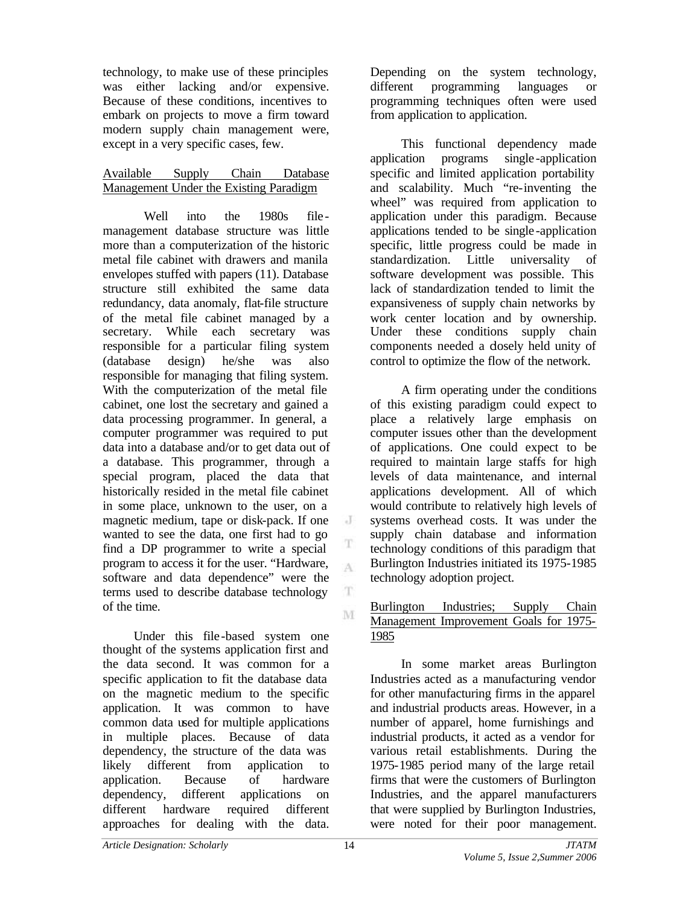technology, to make use of these principles was either lacking and/or expensive. Because of these conditions, incentives to embark on projects to move a firm toward modern supply chain management were, except in a very specific cases, few.

# Available Supply Chain Database Management Under the Existing Paradigm

Well into the 1980s filemanagement database structure was little more than a computerization of the historic metal file cabinet with drawers and manila envelopes stuffed with papers (11). Database structure still exhibited the same data redundancy, data anomaly, flat-file structure of the metal file cabinet managed by a secretary. While each secretary was responsible for a particular filing system (database design) he/she was also responsible for managing that filing system. With the computerization of the metal file cabinet, one lost the secretary and gained a data processing programmer. In general, a computer programmer was required to put data into a database and/or to get data out of a database. This programmer, through a special program, placed the data that historically resided in the metal file cabinet in some place, unknown to the user, on a magnetic medium, tape or disk-pack. If one wanted to see the data, one first had to go find a DP programmer to write a special program to access it for the user. "Hardware, software and data dependence" were the terms used to describe database technology of the time.

Under this file -based system one thought of the systems application first and the data second. It was common for a specific application to fit the database data on the magnetic medium to the specific application. It was common to have common data used for multiple applications in multiple places. Because of data dependency, the structure of the data was likely different from application to application. Because of hardware dependency, different applications on different hardware required different approaches for dealing with the data.

Depending on the system technology, different programming languages or programming techniques often were used from application to application.

This functional dependency made application programs single -application specific and limited application portability and scalability. Much "re-inventing the wheel" was required from application to application under this paradigm. Because applications tended to be single -application specific, little progress could be made in standardization. Little universality of software development was possible. This lack of standardization tended to limit the expansiveness of supply chain networks by work center location and by ownership. Under these conditions supply chain components needed a closely held unity of control to optimize the flow of the network.

A firm operating under the conditions of this existing paradigm could expect to place a relatively large emphasis on computer issues other than the development of applications. One could expect to be required to maintain large staffs for high levels of data maintenance, and internal applications development. All of which would contribute to relatively high levels of systems overhead costs. It was under the supply chain database and information technology conditions of this paradigm that Burlington Industries initiated its 1975-1985 technology adoption project.

## Burlington Industries; Supply Chain Management Improvement Goals for 1975- 1985

In some market areas Burlington Industries acted as a manufacturing vendor for other manufacturing firms in the apparel and industrial products areas. However, in a number of apparel, home furnishings and industrial products, it acted as a vendor for various retail establishments. During the 1975-1985 period many of the large retail firms that were the customers of Burlington Industries, and the apparel manufacturers that were supplied by Burlington Industries, were noted for their poor management.

J

A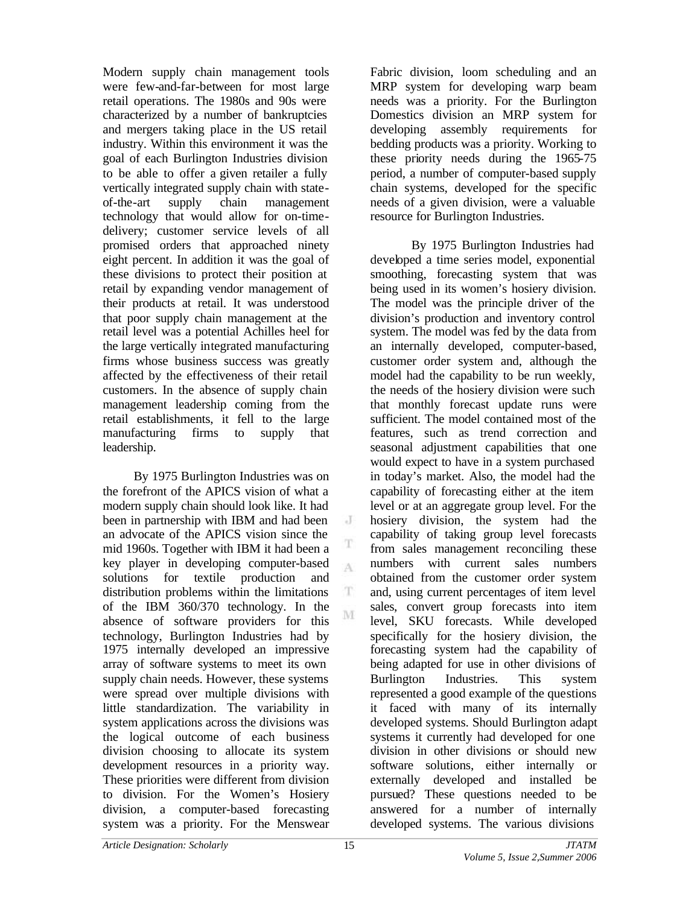Modern supply chain management tools were few-and-far-between for most large retail operations. The 1980s and 90s were characterized by a number of bankruptcies and mergers taking place in the US retail industry. Within this environment it was the goal of each Burlington Industries division to be able to offer a given retailer a fully vertically integrated supply chain with stateof-the-art supply chain management technology that would allow for on-timedelivery; customer service levels of all promised orders that approached ninety eight percent. In addition it was the goal of these divisions to protect their position at retail by expanding vendor management of their products at retail. It was understood that poor supply chain management at the retail level was a potential Achilles heel for the large vertically integrated manufacturing firms whose business success was greatly affected by the effectiveness of their retail customers. In the absence of supply chain management leadership coming from the retail establishments, it fell to the large manufacturing firms to supply that leadership.

By 1975 Burlington Industries was on the forefront of the APICS vision of what a modern supply chain should look like. It had been in partnership with IBM and had been an advocate of the APICS vision since the mid 1960s. Together with IBM it had been a key player in developing computer-based solutions for textile production and distribution problems within the limitations of the IBM 360/370 technology. In the absence of software providers for this technology, Burlington Industries had by 1975 internally developed an impressive array of software systems to meet its own supply chain needs. However, these systems were spread over multiple divisions with little standardization. The variability in system applications across the divisions was the logical outcome of each business division choosing to allocate its system development resources in a priority way. These priorities were different from division to division. For the Women's Hosiery division, a computer-based forecasting system was a priority. For the Menswear

Fabric division, loom scheduling and an MRP system for developing warp beam needs was a priority. For the Burlington Domestics division an MRP system for developing assembly requirements for bedding products was a priority. Working to these priority needs during the 1965-75 period, a number of computer-based supply chain systems, developed for the specific needs of a given division, were a valuable resource for Burlington Industries.

By 1975 Burlington Industries had developed a time series model, exponential smoothing, forecasting system that was being used in its women's hosiery division. The model was the principle driver of the division's production and inventory control system. The model was fed by the data from an internally developed, computer-based, customer order system and, although the model had the capability to be run weekly, the needs of the hosiery division were such that monthly forecast update runs were sufficient. The model contained most of the features, such as trend correction and seasonal adjustment capabilities that one would expect to have in a system purchased in today's market. Also, the model had the capability of forecasting either at the item level or at an aggregate group level. For the hosiery division, the system had the capability of taking group level forecasts from sales management reconciling these numbers with current sales numbers obtained from the customer order system and, using current percentages of item level sales, convert group forecasts into item level, SKU forecasts. While developed specifically for the hosiery division, the forecasting system had the capability of being adapted for use in other divisions of Burlington Industries. This system represented a good example of the questions it faced with many of its internally developed systems. Should Burlington adapt systems it currently had developed for one division in other divisions or should new software solutions, either internally or externally developed and installed be pursued? These questions needed to be answered for a number of internally developed systems. The various divisions

J

A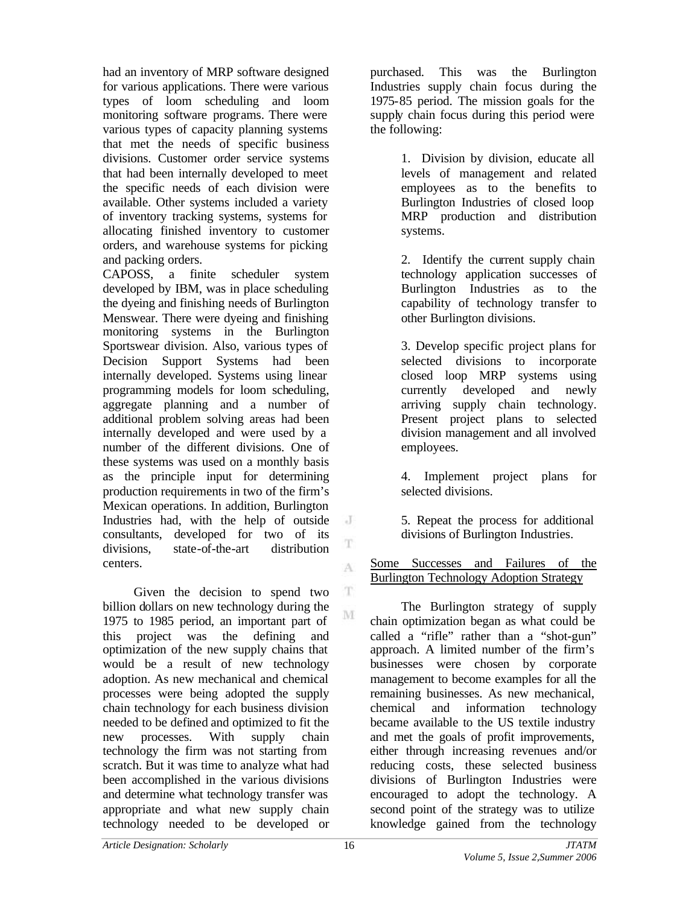had an inventory of MRP software designed for various applications. There were various types of loom scheduling and loom monitoring software programs. There were various types of capacity planning systems that met the needs of specific business divisions. Customer order service systems that had been internally developed to meet the specific needs of each division were available. Other systems included a variety of inventory tracking systems, systems for allocating finished inventory to customer orders, and warehouse systems for picking and packing orders.

CAPOSS, a finite scheduler system developed by IBM, was in place scheduling the dyeing and finishing needs of Burlington Menswear. There were dyeing and finishing monitoring systems in the Burlington Sportswear division. Also, various types of Decision Support Systems had been internally developed. Systems using linear programming models for loom scheduling, aggregate planning and a number of additional problem solving areas had been internally developed and were used by a number of the different divisions. One of these systems was used on a monthly basis as the principle input for determining production requirements in two of the firm's Mexican operations. In addition, Burlington Industries had, with the help of outside  $\cdot$ consultants, developed for two of its divisions, state-of-the-art distribution centers.

 $\mathbf T$ Given the decision to spend two billion dollars on new technology during the M 1975 to 1985 period, an important part of this project was the defining and optimization of the new supply chains that would be a result of new technology adoption. As new mechanical and chemical processes were being adopted the supply chain technology for each business division needed to be defined and optimized to fit the new processes. With supply chain technology the firm was not starting from scratch. But it was time to analyze what had been accomplished in the various divisions and determine what technology transfer was appropriate and what new supply chain technology needed to be developed or

purchased. This was the Burlington Industries supply chain focus during the 1975-85 period. The mission goals for the supply chain focus during this period were the following:

> 1. Division by division, educate all levels of management and related employees as to the benefits to Burlington Industries of closed loop MRP production and distribution systems.

> 2. Identify the current supply chain technology application successes of Burlington Industries as to the capability of technology transfer to other Burlington divisions.

> 3. Develop specific project plans for selected divisions to incorporate closed loop MRP systems using currently developed and newly arriving supply chain technology. Present project plans to selected division management and all involved employees.

> 4. Implement project plans for selected divisions.

5. Repeat the process for additional divisions of Burlington Industries.

Some Successes and Failures of the Burlington Technology Adoption Strategy

The Burlington strategy of supply chain optimization began as what could be called a "rifle" rather than a "shot-gun" approach. A limited number of the firm's businesses were chosen by corporate management to become examples for all the remaining businesses. As new mechanical, chemical and information technology became available to the US textile industry and met the goals of profit improvements, either through increasing revenues and/or reducing costs, these selected business divisions of Burlington Industries were encouraged to adopt the technology. A second point of the strategy was to utilize knowledge gained from the technology

T

A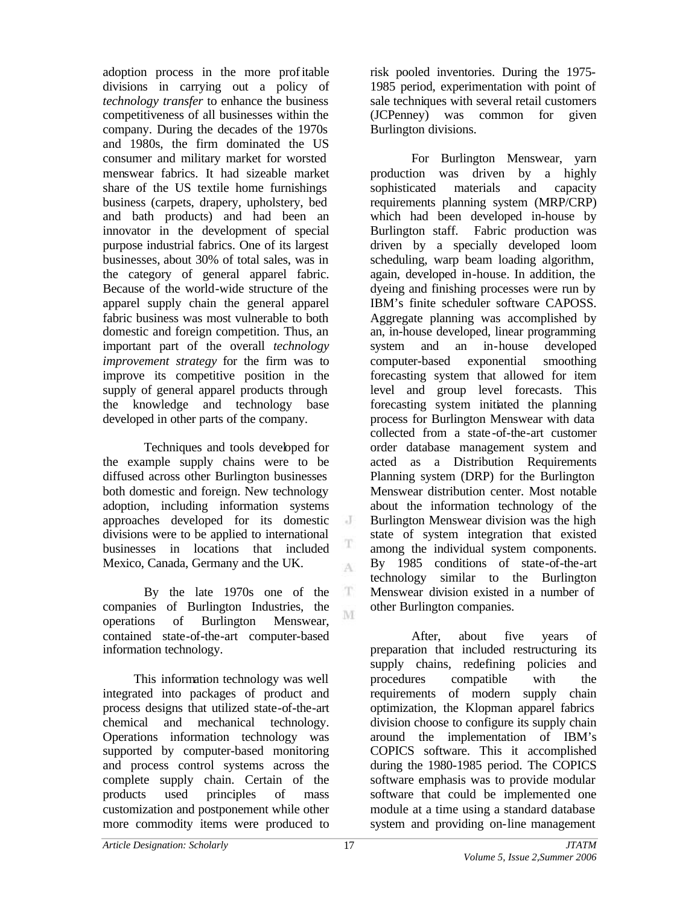adoption process in the more profitable divisions in carrying out a policy of *technology transfer* to enhance the business competitiveness of all businesses within the company. During the decades of the 1970s and 1980s, the firm dominated the US consumer and military market for worsted menswear fabrics. It had sizeable market share of the US textile home furnishings business (carpets, drapery, upholstery, bed and bath products) and had been an innovator in the development of special purpose industrial fabrics. One of its largest businesses, about 30% of total sales, was in the category of general apparel fabric. Because of the world-wide structure of the apparel supply chain the general apparel fabric business was most vulnerable to both domestic and foreign competition. Thus, an important part of the overall *technology improvement strategy* for the firm was to improve its competitive position in the supply of general apparel products through the knowledge and technology base developed in other parts of the company.

Techniques and tools developed for the example supply chains were to be diffused across other Burlington businesses both domestic and foreign. New technology adoption, including information systems approaches developed for its domestic divisions were to be applied to international businesses in locations that included Mexico, Canada, Germany and the UK.

By the late 1970s one of the companies of Burlington Industries, the operations of Burlington Menswear, contained state-of-the-art computer-based information technology.

This information technology was well integrated into packages of product and process designs that utilized state-of-the-art chemical and mechanical technology. Operations information technology was supported by computer-based monitoring and process control systems across the complete supply chain. Certain of the products used principles of mass customization and postponement while other more commodity items were produced to

risk pooled inventories. During the 1975- 1985 period, experimentation with point of sale techniques with several retail customers (JCPenney) was common for given Burlington divisions.

For Burlington Menswear, yarn production was driven by a highly sophisticated materials and capacity requirements planning system (MRP/CRP) which had been developed in-house by Burlington staff. Fabric production was driven by a specially developed loom scheduling, warp beam loading algorithm, again, developed in-house. In addition, the dyeing and finishing processes were run by IBM's finite scheduler software CAPOSS. Aggregate planning was accomplished by an, in-house developed, linear programming system and an in-house developed computer-based exponential smoothing forecasting system that allowed for item level and group level forecasts. This forecasting system initiated the planning process for Burlington Menswear with data collected from a state -of-the-art customer order database management system and acted as a Distribution Requirements Planning system (DRP) for the Burlington Menswear distribution center. Most notable about the information technology of the Burlington Menswear division was the high state of system integration that existed among the individual system components. By 1985 conditions of state-of-the-art technology similar to the Burlington Menswear division existed in a number of other Burlington companies.

After, about five years of preparation that included restructuring its supply chains, redefining policies and procedures compatible with the requirements of modern supply chain optimization, the Klopman apparel fabrics division choose to configure its supply chain around the implementation of IBM's COPICS software. This it accomplished during the 1980-1985 period. The COPICS software emphasis was to provide modular software that could be implemented one module at a time using a standard database system and providing on-line management

J

T A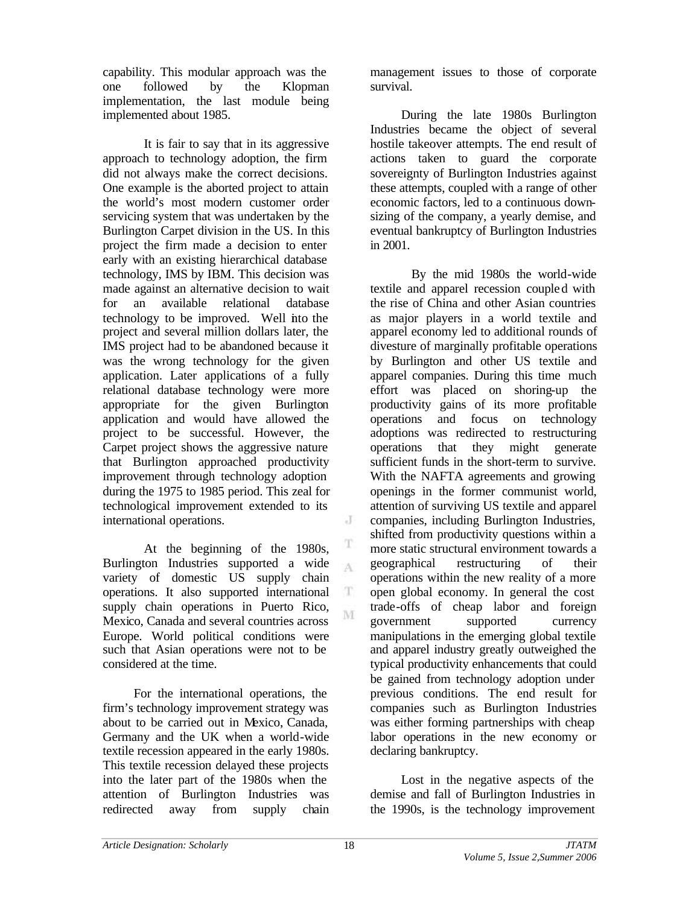capability. This modular approach was the one followed by the Klopman implementation, the last module being implemented about 1985.

It is fair to say that in its aggressive approach to technology adoption, the firm did not always make the correct decisions. One example is the aborted project to attain the world's most modern customer order servicing system that was undertaken by the Burlington Carpet division in the US. In this project the firm made a decision to enter early with an existing hierarchical database technology, IMS by IBM. This decision was made against an alternative decision to wait for an available relational database technology to be improved. Well into the project and several million dollars later, the IMS project had to be abandoned because it was the wrong technology for the given application. Later applications of a fully relational database technology were more appropriate for the given Burlington application and would have allowed the project to be successful. However, the Carpet project shows the aggressive nature that Burlington approached productivity improvement through technology adoption during the 1975 to 1985 period. This zeal for technological improvement extended to its international operations.

At the beginning of the 1980s, Burlington Industries supported a wide variety of domestic US supply chain operations. It also supported international supply chain operations in Puerto Rico, Mexico, Canada and several countries across Europe. World political conditions were such that Asian operations were not to be considered at the time.

For the international operations, the firm's technology improvement strategy was about to be carried out in Mexico, Canada, Germany and the UK when a world-wide textile recession appeared in the early 1980s. This textile recession delayed these projects into the later part of the 1980s when the attention of Burlington Industries was redirected away from supply chain

management issues to those of corporate survival.

During the late 1980s Burlington Industries became the object of several hostile takeover attempts. The end result of actions taken to guard the corporate sovereignty of Burlington Industries against these attempts, coupled with a range of other economic factors, led to a continuous downsizing of the company, a yearly demise, and eventual bankruptcy of Burlington Industries in 2001.

By the mid 1980s the world-wide textile and apparel recession coupled with the rise of China and other Asian countries as major players in a world textile and apparel economy led to additional rounds of divesture of marginally profitable operations by Burlington and other US textile and apparel companies. During this time much effort was placed on shoring-up the productivity gains of its more profitable operations and focus on technology adoptions was redirected to restructuring operations that they might generate sufficient funds in the short-term to survive. With the NAFTA agreements and growing openings in the former communist world, attention of surviving US textile and apparel companies, including Burlington Industries, shifted from productivity questions within a more static structural environment towards a geographical restructuring of their operations within the new reality of a more open global economy. In general the cost trade-offs of cheap labor and foreign government supported currency manipulations in the emerging global textile and apparel industry greatly outweighed the typical productivity enhancements that could be gained from technology adoption under previous conditions. The end result for companies such as Burlington Industries was either forming partnerships with cheap labor operations in the new economy or declaring bankruptcy.

Lost in the negative aspects of the demise and fall of Burlington Industries in the 1990s, is the technology improvement

J

T A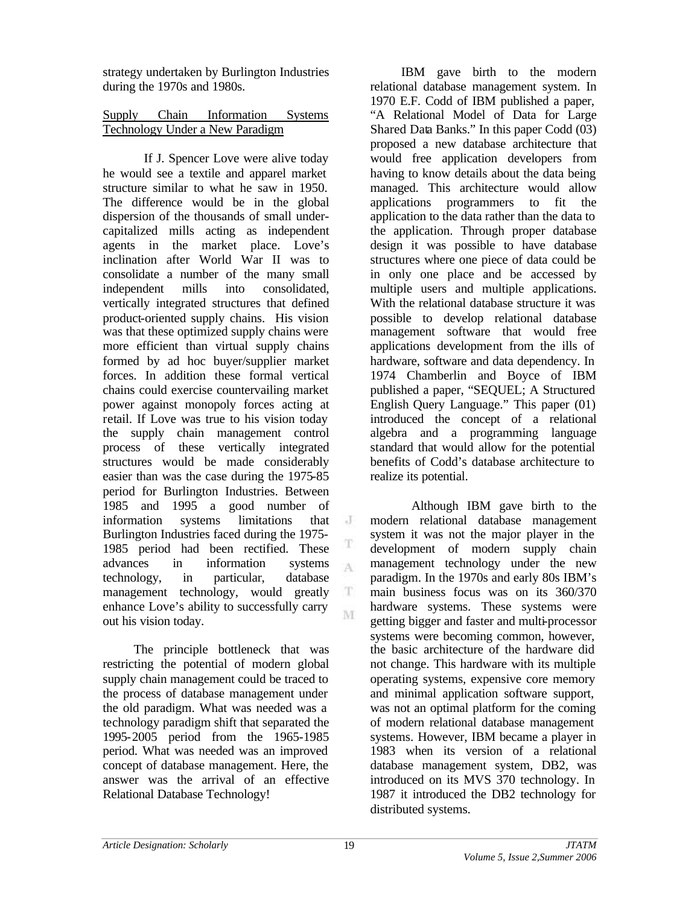strategy undertaken by Burlington Industries during the 1970s and 1980s.

# Supply Chain Information Systems Technology Under a New Paradigm

If J. Spencer Love were alive today he would see a textile and apparel market structure similar to what he saw in 1950. The difference would be in the global dispersion of the thousands of small undercapitalized mills acting as independent agents in the market place. Love's inclination after World War II was to consolidate a number of the many small independent mills into consolidated, vertically integrated structures that defined product-oriented supply chains. His vision was that these optimized supply chains were more efficient than virtual supply chains formed by ad hoc buyer/supplier market forces. In addition these formal vertical chains could exercise countervailing market power against monopoly forces acting at retail. If Love was true to his vision today the supply chain management control process of these vertically integrated structures would be made considerably easier than was the case during the 1975-85 period for Burlington Industries. Between 1985 and 1995 a good number of information systems limitations that  $\cdot$  J Burlington Industries faced during the 1975- 1985 period had been rectified. These advances in information systems  $\Lambda$ technology, in particular, database management technology, would greatly  $\mathbf T$ enhance Love's ability to successfully carry M out his vision today.

The principle bottleneck that was restricting the potential of modern global supply chain management could be traced to the process of database management under the old paradigm. What was needed was a technology paradigm shift that separated the 1995-2005 period from the 1965-1985 period. What was needed was an improved concept of database management. Here, the answer was the arrival of an effective Relational Database Technology!

IBM gave birth to the modern relational database management system. In 1970 E.F. Codd of IBM published a paper, "A Relational Model of Data for Large Shared Data Banks." In this paper Codd (03) proposed a new database architecture that would free application developers from having to know details about the data being managed. This architecture would allow applications programmers to fit the application to the data rather than the data to the application. Through proper database design it was possible to have database structures where one piece of data could be in only one place and be accessed by multiple users and multiple applications. With the relational database structure it was possible to develop relational database management software that would free applications development from the ills of hardware, software and data dependency. In 1974 Chamberlin and Boyce of IBM published a paper, "SEQUEL; A Structured English Query Language." This paper (01) introduced the concept of a relational algebra and a programming language standard that would allow for the potential benefits of Codd's database architecture to realize its potential.

Although IBM gave birth to the modern relational database management system it was not the major player in the development of modern supply chain management technology under the new paradigm. In the 1970s and early 80s IBM's main business focus was on its 360/370 hardware systems. These systems were getting bigger and faster and multi-processor systems were becoming common, however, the basic architecture of the hardware did not change. This hardware with its multiple operating systems, expensive core memory and minimal application software support, was not an optimal platform for the coming of modern relational database management systems. However, IBM became a player in 1983 when its version of a relational database management system, DB2, was introduced on its MVS 370 technology. In 1987 it introduced the DB2 technology for distributed systems.

T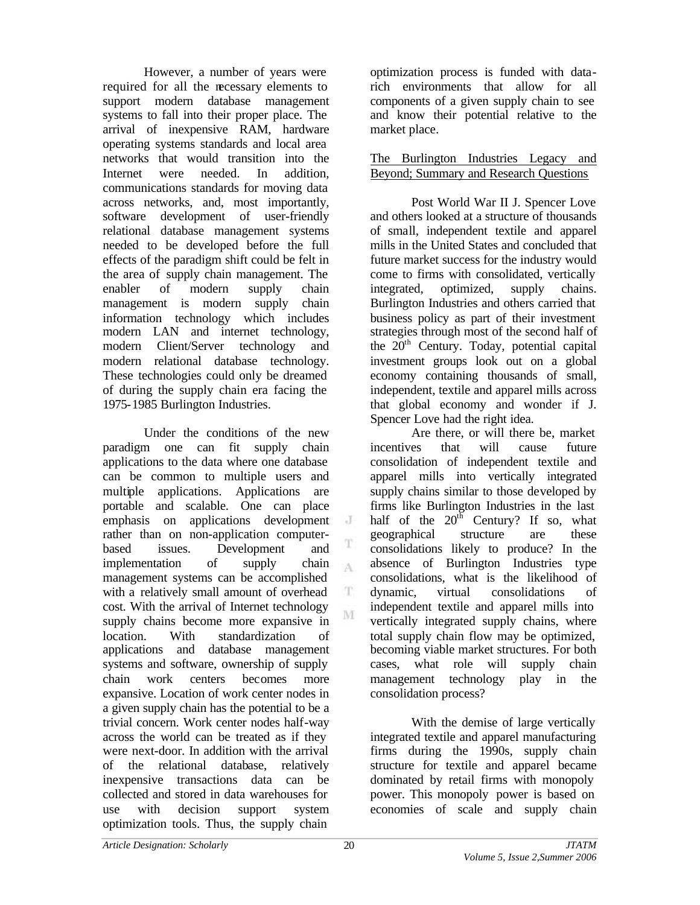However, a number of years were required for all the necessary elements to support modern database management systems to fall into their proper place. The arrival of inexpensive RAM, hardware operating systems standards and local area networks that would transition into the Internet were needed. In addition communications standards for moving data across networks, and, most importantly, software development of user-friendly relational database management systems needed to be developed before the full effects of the paradigm shift could be felt in the area of supply chain management. The enabler of modern supply chain management is modern supply chain information technology which includes modern LAN and internet technology, modern Client/Server technology and modern relational database technology. These technologies could only be dreamed of during the supply chain era facing the 1975-1985 Burlington Industries.

Under the conditions of the new paradigm one can fit supply chain applications to the data where one database can be common to multiple users and multiple applications. Applications are portable and scalable. One can place emphasis on applications development rather than on non-application computerbased issues. Development and implementation of supply chain  $\Lambda$ management systems can be accomplished with a relatively small amount of overhead cost. With the arrival of Internet technology supply chains become more expansive in location. With standardization of applications and database management systems and software, ownership of supply chain work centers becomes more expansive. Location of work center nodes in a given supply chain has the potential to be a trivial concern. Work center nodes half-way across the world can be treated as if they were next-door. In addition with the arrival of the relational database, relatively inexpensive transactions data can be collected and stored in data warehouses for use with decision support system optimization tools. Thus, the supply chain

optimization process is funded with datarich environments that allow for all components of a given supply chain to see and know their potential relative to the market place.

## The Burlington Industries Legacy and Beyond; Summary and Research Questions

Post World War II J. Spencer Love and others looked at a structure of thousands of small, independent textile and apparel mills in the United States and concluded that future market success for the industry would come to firms with consolidated, vertically integrated, optimized, supply chains. Burlington Industries and others carried that business policy as part of their investment strategies through most of the second half of the  $20<sup>th</sup>$  Century. Today, potential capital investment groups look out on a global economy containing thousands of small, independent, textile and apparel mills across that global economy and wonder if J. Spencer Love had the right idea.

Are there, or will there be, market incentives that will cause future consolidation of independent textile and apparel mills into vertically integrated supply chains similar to those developed by firms like Burlington Industries in the last half of the  $20<sup>th</sup>$  Century? If so, what geographical structure are these consolidations likely to produce? In the absence of Burlington Industries type consolidations, what is the likelihood of dynamic, virtual consolidations of independent textile and apparel mills into vertically integrated supply chains, where total supply chain flow may be optimized, becoming viable market structures. For both cases, what role will supply chain management technology play in the consolidation process?

With the demise of large vertically integrated textile and apparel manufacturing firms during the 1990s, supply chain structure for textile and apparel became dominated by retail firms with monopoly power. This monopoly power is based on economies of scale and supply chain

J

T

T. M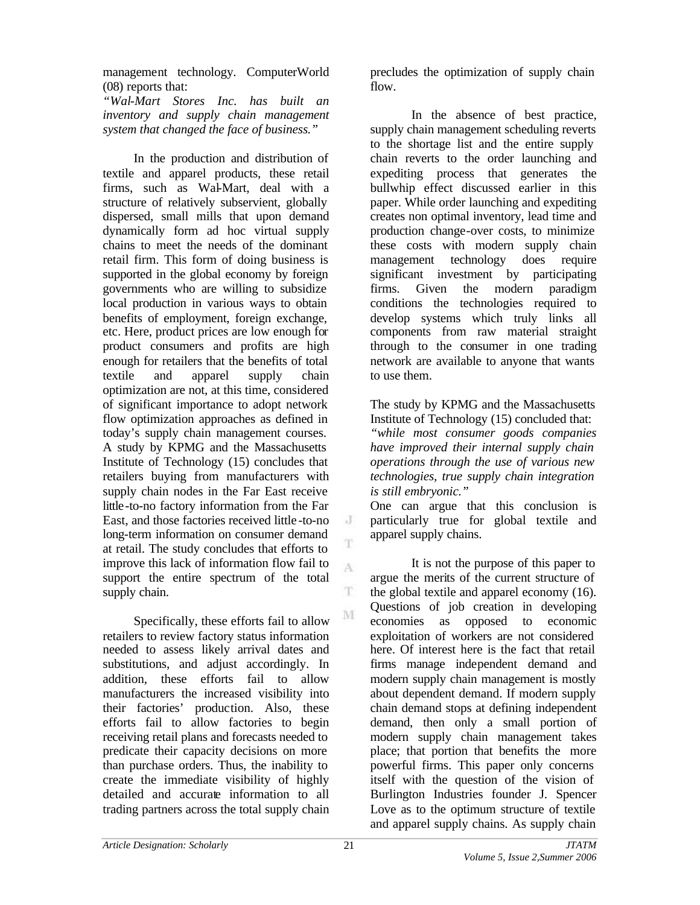management technology. ComputerWorld (08) reports that:

*"Wal-Mart Stores Inc. has built an inventory and supply chain management system that changed the face of business."*

In the production and distribution of textile and apparel products, these retail firms, such as Wal-Mart, deal with a structure of relatively subservient, globally dispersed, small mills that upon demand dynamically form ad hoc virtual supply chains to meet the needs of the dominant retail firm. This form of doing business is supported in the global economy by foreign governments who are willing to subsidize local production in various ways to obtain benefits of employment, foreign exchange, etc. Here, product prices are low enough for product consumers and profits are high enough for retailers that the benefits of total textile and apparel supply chain optimization are not, at this time, considered of significant importance to adopt network flow optimization approaches as defined in today's supply chain management courses. A study by KPMG and the Massachusetts Institute of Technology (15) concludes that retailers buying from manufacturers with supply chain nodes in the Far East receive little-to-no factory information from the Far East, and those factories received little -to-no long-term information on consumer demand at retail. The study concludes that efforts to improve this lack of information flow fail to support the entire spectrum of the total supply chain.

Specifically, these efforts fail to allow retailers to review factory status information needed to assess likely arrival dates and substitutions, and adjust accordingly. In addition, these efforts fail to allow manufacturers the increased visibility into their factories' production. Also, these efforts fail to allow factories to begin receiving retail plans and forecasts needed to predicate their capacity decisions on more than purchase orders. Thus, the inability to create the immediate visibility of highly detailed and accurate information to all trading partners across the total supply chain

precludes the optimization of supply chain flow.

In the absence of best practice, supply chain management scheduling reverts to the shortage list and the entire supply chain reverts to the order launching and expediting process that generates the bullwhip effect discussed earlier in this paper. While order launching and expediting creates non optimal inventory, lead time and production change-over costs, to minimize these costs with modern supply chain management technology does require significant investment by participating firms. Given the modern paradigm conditions the technologies required to develop systems which truly links all components from raw material straight through to the consumer in one trading network are available to anyone that wants to use them.

The study by KPMG and the Massachusetts Institute of Technology (15) concluded that: *"while most consumer goods companies have improved their internal supply chain operations through the use of various new technologies, true supply chain integration is still embryonic."*

One can argue that this conclusion is particularly true for global textile and apparel supply chains.

It is not the purpose of this paper to argue the merits of the current structure of the global textile and apparel economy (16). Questions of job creation in developing economies as opposed to economic exploitation of workers are not considered here. Of interest here is the fact that retail firms manage independent demand and modern supply chain management is mostly about dependent demand. If modern supply chain demand stops at defining independent demand, then only a small portion of modern supply chain management takes place; that portion that benefits the more powerful firms. This paper only concerns itself with the question of the vision of Burlington Industries founder J. Spencer Love as to the optimum structure of textile and apparel supply chains. As supply chain

 $\cdot$  J T.

A

T

M